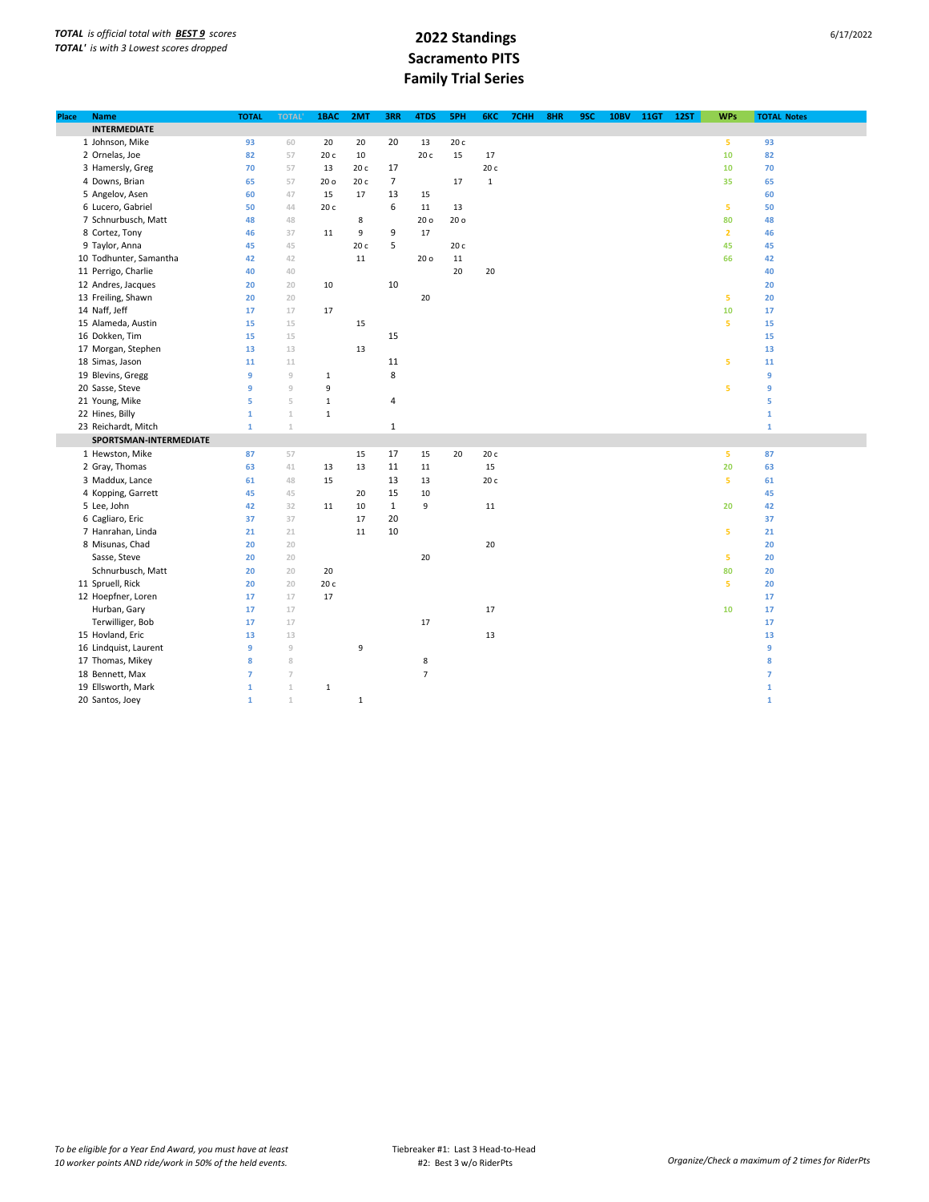| Place | <b>Name</b>            | <b>TOTAL</b>   | <b>TOTAL</b>   | 1BAC            | 2MT         | 3RR            | 4TDS           | 5PH  | 6KC          | 7CHH | 8HR | 9SC | <b>10BV</b> | 11GT | <b>12ST</b> | <b>WPs</b>     | <b>TOTAL Notes</b> |  |
|-------|------------------------|----------------|----------------|-----------------|-------------|----------------|----------------|------|--------------|------|-----|-----|-------------|------|-------------|----------------|--------------------|--|
|       | <b>INTERMEDIATE</b>    |                |                |                 |             |                |                |      |              |      |     |     |             |      |             |                |                    |  |
|       | 1 Johnson, Mike        | 93             | 60             | 20              | 20          | 20             | 13             | 20 c |              |      |     |     |             |      |             | 5              | 93                 |  |
|       | 2 Ornelas, Joe         | 82             | 57             | 20 c            | 10          |                | 20 c           | 15   | 17           |      |     |     |             |      |             | 10             | 82                 |  |
|       | 3 Hamersly, Greg       | 70             | 57             | 13              | 20 с        | 17             |                |      | 20 c         |      |     |     |             |      |             | 10             | 70                 |  |
|       | 4 Downs, Brian         | 65             | 57             | 20 <sub>o</sub> | 20 с        | $\overline{7}$ |                | 17   | $\mathbf{1}$ |      |     |     |             |      |             | 35             | 65                 |  |
|       | 5 Angelov, Asen        | 60             | 47             | 15              | 17          | 13             | 15             |      |              |      |     |     |             |      |             |                | 60                 |  |
|       | 6 Lucero, Gabriel      | 50             | 44             | 20 c            |             | 6              | 11             | 13   |              |      |     |     |             |      |             | 5              | 50                 |  |
|       | 7 Schnurbusch, Matt    | 48             | 48             |                 | 8           |                | 20 o           | 20 o |              |      |     |     |             |      |             | 80             | 48                 |  |
|       | 8 Cortez, Tony         | 46             | 37             | 11              | 9           | 9              | 17             |      |              |      |     |     |             |      |             | $\overline{2}$ | 46                 |  |
|       | 9 Taylor, Anna         | 45             | 45             |                 | 20 c        | 5              |                | 20 c |              |      |     |     |             |      |             | 45             | 45                 |  |
|       | 10 Todhunter, Samantha | 42             | 42             |                 | 11          |                | 20 o           | 11   |              |      |     |     |             |      |             | 66             | 42                 |  |
|       | 11 Perrigo, Charlie    | 40             | 40             |                 |             |                |                | 20   | 20           |      |     |     |             |      |             |                | 40                 |  |
|       | 12 Andres, Jacques     | 20             | 20             | 10              |             | 10             |                |      |              |      |     |     |             |      |             |                | 20                 |  |
|       | 13 Freiling, Shawn     | 20             | 20             |                 |             |                | $20\,$         |      |              |      |     |     |             |      |             | 5              | 20                 |  |
|       | 14 Naff, Jeff          | 17             | 17             | 17              |             |                |                |      |              |      |     |     |             |      |             | 10             | 17                 |  |
|       | 15 Alameda, Austin     | 15             | 15             |                 | 15          |                |                |      |              |      |     |     |             |      |             | 5              | 15                 |  |
|       | 16 Dokken, Tim         | 15             | 15             |                 |             | 15             |                |      |              |      |     |     |             |      |             |                | 15                 |  |
|       | 17 Morgan, Stephen     | 13             | 13             |                 | 13          |                |                |      |              |      |     |     |             |      |             |                | 13                 |  |
|       | 18 Simas, Jason        | 11             | $11\,$         |                 |             | 11             |                |      |              |      |     |     |             |      |             | 5              | 11                 |  |
|       | 19 Blevins, Gregg      | 9              | $\overline{9}$ | $\,1\,$         |             | 8              |                |      |              |      |     |     |             |      |             |                | 9                  |  |
|       | 20 Sasse, Steve        | 9              | 9              | 9               |             |                |                |      |              |      |     |     |             |      |             | 5              | 9                  |  |
|       | 21 Young, Mike         | 5              | 5              | $\mathbf 1$     |             | 4              |                |      |              |      |     |     |             |      |             |                | 5                  |  |
|       | 22 Hines, Billy        | $\mathbf{1}$   | $\mathbf{1}$   | $\mathbf{1}$    |             |                |                |      |              |      |     |     |             |      |             |                | $\mathbf{1}$       |  |
|       | 23 Reichardt, Mitch    | $\mathbf{1}$   | $\mathbf{1}$   |                 |             | $\mathbf{1}$   |                |      |              |      |     |     |             |      |             |                | $\mathbf 1$        |  |
|       | SPORTSMAN-INTERMEDIATE |                |                |                 |             |                |                |      |              |      |     |     |             |      |             |                |                    |  |
|       | 1 Hewston, Mike        | 87             | 57             |                 | 15          | 17             | 15             | 20   | 20 с         |      |     |     |             |      |             | 5              | 87                 |  |
|       | 2 Gray, Thomas         | 63             | 41             | 13              | 13          | 11             | 11             |      | 15           |      |     |     |             |      |             | 20             | 63                 |  |
|       | 3 Maddux, Lance        | 61             | 48             | 15              |             | 13             | 13             |      | 20 c         |      |     |     |             |      |             | 5              | 61                 |  |
|       | 4 Kopping, Garrett     | 45             | 45             |                 | 20          | 15             | 10             |      |              |      |     |     |             |      |             |                | 45                 |  |
|       | 5 Lee, John            | 42             | 32             | 11              | 10          | $\mathbf{1}$   | 9              |      | $11\,$       |      |     |     |             |      |             | 20             | 42                 |  |
|       | 6 Cagliaro, Eric       | 37             | 37             |                 | 17          | 20             |                |      |              |      |     |     |             |      |             |                | 37                 |  |
|       | 7 Hanrahan, Linda      | 21             | 21             |                 | 11          | 10             |                |      |              |      |     |     |             |      |             | 5              | 21                 |  |
|       | 8 Misunas, Chad        | 20             | 20             |                 |             |                |                |      | 20           |      |     |     |             |      |             |                | 20                 |  |
|       | Sasse, Steve           | 20             | 20             |                 |             |                | 20             |      |              |      |     |     |             |      |             | 5              | 20                 |  |
|       | Schnurbusch, Matt      | 20             | 20             | 20              |             |                |                |      |              |      |     |     |             |      |             | 80             | 20                 |  |
|       | 11 Spruell, Rick       | 20             | 20             | 20 с            |             |                |                |      |              |      |     |     |             |      |             | 5              | 20                 |  |
|       | 12 Hoepfner, Loren     | 17             | 17             | 17              |             |                |                |      |              |      |     |     |             |      |             |                | 17                 |  |
|       | Hurban, Gary           | 17             | 17             |                 |             |                |                |      | 17           |      |     |     |             |      |             | 10             | 17                 |  |
|       | Terwilliger, Bob       | 17             | 17             |                 |             |                | 17             |      |              |      |     |     |             |      |             |                | 17                 |  |
|       | 15 Hovland, Eric       | 13             | 13             |                 |             |                |                |      | 13           |      |     |     |             |      |             |                | 13                 |  |
|       | 16 Lindquist, Laurent  | 9              | $\overline{9}$ |                 | 9           |                |                |      |              |      |     |     |             |      |             |                | 9                  |  |
|       | 17 Thomas, Mikey       | 8              | 8              |                 |             |                | 8              |      |              |      |     |     |             |      |             |                | 8                  |  |
|       | 18 Bennett, Max        | $\overline{7}$ | $\overline{7}$ |                 |             |                | $\overline{7}$ |      |              |      |     |     |             |      |             |                | $\overline{7}$     |  |
|       | 19 Ellsworth, Mark     | $\mathbf{1}$   | $\mathbf{1}$   | $\mathbf 1$     |             |                |                |      |              |      |     |     |             |      |             |                | $\mathbf 1$        |  |
|       | 20 Santos, Joey        | $\mathbf{1}$   | $\perp$        |                 | $\mathbf 1$ |                |                |      |              |      |     |     |             |      |             |                | $\mathbf{1}$       |  |
|       |                        |                |                |                 |             |                |                |      |              |      |     |     |             |      |             |                |                    |  |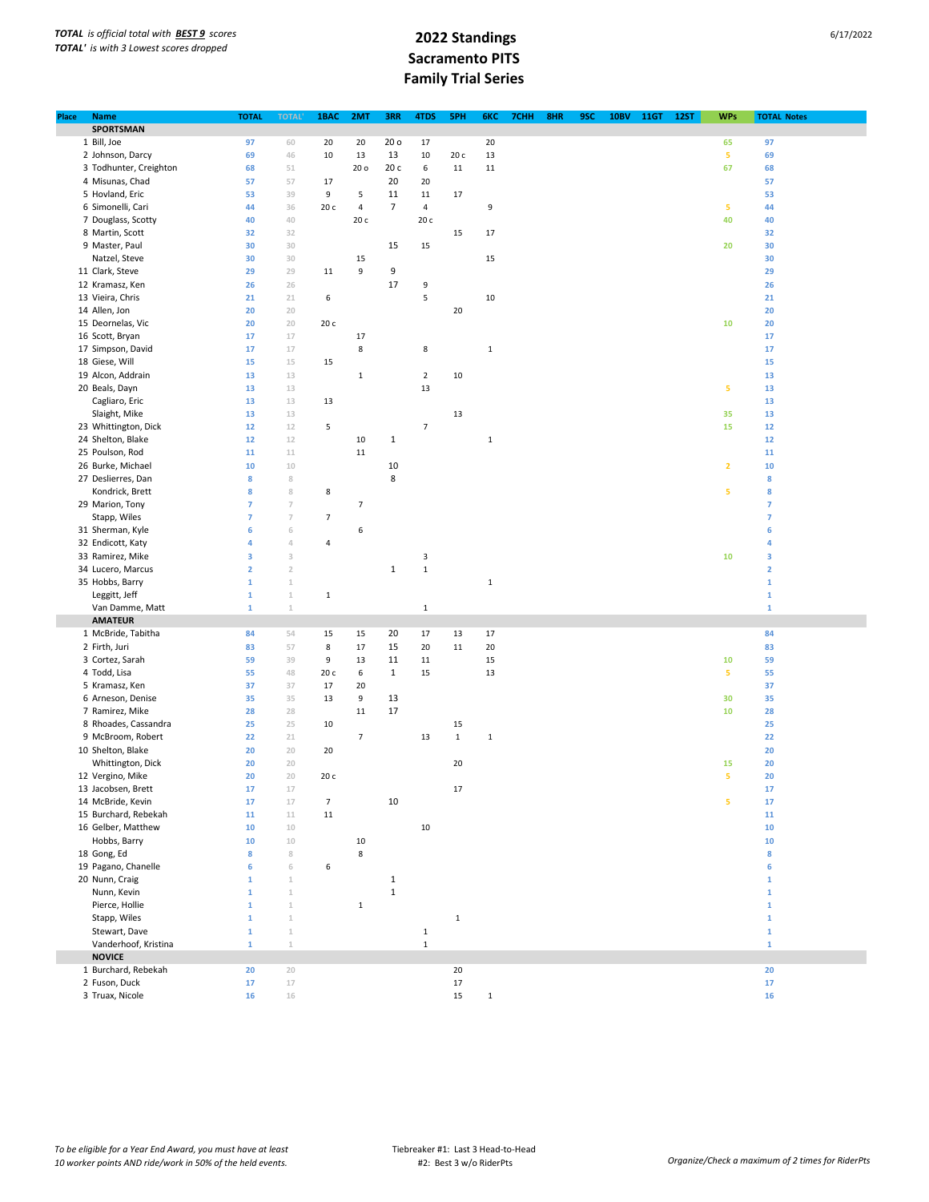| Place | <b>Name</b>            | <b>TOTAL</b>    | <b>TOTAL</b>              | 1BAC           | 2MT                      | 3RR             | 4TDS           | 5PH         | 6KC          | 7CHH | 8HR | 9SC | <b>10BV</b> | <b>11GT</b> | <b>12ST</b> | <b>WPs</b>              | <b>TOTAL Notes</b> |  |
|-------|------------------------|-----------------|---------------------------|----------------|--------------------------|-----------------|----------------|-------------|--------------|------|-----|-----|-------------|-------------|-------------|-------------------------|--------------------|--|
|       | SPORTSMAN              |                 |                           |                |                          |                 |                |             |              |      |     |     |             |             |             |                         |                    |  |
|       | 1 Bill, Joe            | 97              | 60                        | 20             | 20                       | 20 <sub>o</sub> | 17             |             | 20           |      |     |     |             |             |             | 65                      | 97                 |  |
|       | 2 Johnson, Darcy       | 69              | 46                        | 10             | 13                       | 13              | 10             | 20 c        | 13           |      |     |     |             |             |             | 5                       | 69                 |  |
|       | 3 Todhunter, Creighton | 68              | 51                        |                | 20 o                     | 20 с            | 6              | 11          | 11           |      |     |     |             |             |             | 67                      | 68                 |  |
|       | 4 Misunas, Chad        |                 |                           |                |                          |                 |                |             |              |      |     |     |             |             |             |                         |                    |  |
|       |                        | 57              | 57                        | 17             |                          | 20              | 20             |             |              |      |     |     |             |             |             |                         | 57                 |  |
|       | 5 Hovland, Eric        | 53              | 39                        | 9              | 5                        | 11              | $11\,$         | 17          |              |      |     |     |             |             |             |                         | 53                 |  |
|       | 6 Simonelli, Cari      | 44              | 36                        | 20c            | 4                        | $\overline{7}$  | 4              |             | 9            |      |     |     |             |             |             | 5                       | 44                 |  |
|       | 7 Douglass, Scotty     | 40              | 40                        |                | 20 с                     |                 | 20 с           |             |              |      |     |     |             |             |             | 40                      | 40                 |  |
|       | 8 Martin, Scott        | 32              | 32                        |                |                          |                 |                | 15          | 17           |      |     |     |             |             |             |                         | 32                 |  |
|       | 9 Master, Paul         | 30              | 30                        |                |                          | 15              | 15             |             |              |      |     |     |             |             |             | 20                      | 30                 |  |
|       | Natzel, Steve          | 30              | 30                        |                | 15                       |                 |                |             | 15           |      |     |     |             |             |             |                         | 30                 |  |
|       | 11 Clark, Steve        | 29              | 29                        | 11             | 9                        | 9               |                |             |              |      |     |     |             |             |             |                         | 29                 |  |
|       | 12 Kramasz, Ken        | 26              | 26                        |                |                          | 17              | 9              |             |              |      |     |     |             |             |             |                         | 26                 |  |
|       | 13 Vieira, Chris       | 21              | 21                        | 6              |                          |                 | 5              |             | 10           |      |     |     |             |             |             |                         | 21                 |  |
|       | 14 Allen, Jon          | 20              | 20                        |                |                          |                 |                | 20          |              |      |     |     |             |             |             |                         | 20                 |  |
|       | 15 Deornelas, Vic      | 20              | 20                        | 20 c           |                          |                 |                |             |              |      |     |     |             |             |             | 10                      | 20                 |  |
|       |                        |                 |                           |                |                          |                 |                |             |              |      |     |     |             |             |             |                         |                    |  |
|       | 16 Scott, Bryan        | 17              | 17                        |                | 17                       |                 |                |             |              |      |     |     |             |             |             |                         | 17                 |  |
|       | 17 Simpson, David      | 17              | 17                        |                | 8                        |                 | 8              |             | $\mathbf 1$  |      |     |     |             |             |             |                         | 17                 |  |
|       | 18 Giese, Will         | 15              | 15                        | 15             |                          |                 |                |             |              |      |     |     |             |             |             |                         | 15                 |  |
|       | 19 Alcon, Addrain      | 13              | 13                        |                | $\,1\,$                  |                 | $\mathbf 2$    | 10          |              |      |     |     |             |             |             |                         | 13                 |  |
|       | 20 Beals, Dayn         | 13              | 13                        |                |                          |                 | 13             |             |              |      |     |     |             |             |             | 5                       | 13                 |  |
|       | Cagliaro, Eric         | 13              | 13                        | 13             |                          |                 |                |             |              |      |     |     |             |             |             |                         | 13                 |  |
|       | Slaight, Mike          | 13              | 13                        |                |                          |                 |                | 13          |              |      |     |     |             |             |             | 35                      | 13                 |  |
|       | 23 Whittington, Dick   | 12              | $12$                      | 5              |                          |                 | $\overline{7}$ |             |              |      |     |     |             |             |             | 15                      | 12                 |  |
|       | 24 Shelton, Blake      | 12              | $12$                      |                | 10                       | $\mathbf{1}$    |                |             | $\mathbf 1$  |      |     |     |             |             |             |                         | 12                 |  |
|       | 25 Poulson, Rod        | 11              | 11                        |                | 11                       |                 |                |             |              |      |     |     |             |             |             |                         | 11                 |  |
|       | 26 Burke, Michael      | 10              | $10$                      |                |                          | 10              |                |             |              |      |     |     |             |             |             | $\overline{\mathbf{2}}$ | 10                 |  |
|       | 27 Deslierres, Dan     | 8               | 8                         |                |                          | 8               |                |             |              |      |     |     |             |             |             |                         | 8                  |  |
|       |                        | 8               | 8                         |                |                          |                 |                |             |              |      |     |     |             |             |             | 5                       | 8                  |  |
|       | Kondrick, Brett        |                 |                           | 8              |                          |                 |                |             |              |      |     |     |             |             |             |                         |                    |  |
|       | 29 Marion, Tony        | $\overline{7}$  | $\overline{7}$            |                | $\overline{\phantom{a}}$ |                 |                |             |              |      |     |     |             |             |             |                         | 7                  |  |
|       | Stapp, Wiles           | $\overline{7}$  | $\overline{7}$            | 7              |                          |                 |                |             |              |      |     |     |             |             |             |                         | $\overline{7}$     |  |
|       | 31 Sherman, Kyle       | $6\phantom{1}6$ | 6                         |                | 6                        |                 |                |             |              |      |     |     |             |             |             |                         | 6                  |  |
|       | 32 Endicott, Katy      | 4               | $\triangleleft$           | 4              |                          |                 |                |             |              |      |     |     |             |             |             |                         | 4                  |  |
|       | 33 Ramirez, Mike       | 3               | $\ensuremath{\mathsf{3}}$ |                |                          |                 | 3              |             |              |      |     |     |             |             |             | 10                      | 3                  |  |
|       | 34 Lucero, Marcus      | $\mathbf 2$     | $\overline{2}$            |                |                          | $\mathbf 1$     | $\mathbf 1$    |             |              |      |     |     |             |             |             |                         | $\overline{2}$     |  |
|       | 35 Hobbs, Barry        | $\mathbf 1$     | $\mathbbm{1}$             |                |                          |                 |                |             | $\mathbf 1$  |      |     |     |             |             |             |                         | $\mathbf 1$        |  |
|       | Leggitt, Jeff          | $\mathbf 1$     | $\mathbbm{1}$             | $\mathbf 1$    |                          |                 |                |             |              |      |     |     |             |             |             |                         | $\mathbf 1$        |  |
|       | Van Damme, Matt        | $\mathbf{1}$    | $1\,$                     |                |                          |                 | $\mathbf{1}$   |             |              |      |     |     |             |             |             |                         | $\mathbf{1}$       |  |
|       | <b>AMATEUR</b>         |                 |                           |                |                          |                 |                |             |              |      |     |     |             |             |             |                         |                    |  |
|       | 1 McBride, Tabitha     | 84              | 54                        | 15             | 15                       | 20              | 17             | 13          | 17           |      |     |     |             |             |             |                         | 84                 |  |
|       | 2 Firth, Juri          | 83              | 57                        |                |                          | 15              |                | 11          |              |      |     |     |             |             |             |                         | 83                 |  |
|       |                        |                 |                           | 8              | 17                       |                 | 20             |             | 20           |      |     |     |             |             |             |                         |                    |  |
|       | 3 Cortez, Sarah        | 59              | 39                        | 9              | 13                       | 11              | $11\,$         |             | 15           |      |     |     |             |             |             | 10                      | 59                 |  |
|       | 4 Todd, Lisa           | 55              | $48\,$                    | 20 c           | 6                        | $\mathbf{1}$    | 15             |             | 13           |      |     |     |             |             |             | ${\bf 5}$               | 55                 |  |
|       | 5 Kramasz, Ken         | 37              | 37                        | 17             | 20                       |                 |                |             |              |      |     |     |             |             |             |                         | 37                 |  |
|       | 6 Arneson, Denise      | 35              | 35                        | 13             | 9                        | 13              |                |             |              |      |     |     |             |             |             | 30                      | 35                 |  |
|       | 7 Ramirez, Mike        | 28              | 28                        |                | 11                       | 17              |                |             |              |      |     |     |             |             |             | 10                      | 28                 |  |
|       | 8 Rhoades, Cassandra   | 25              | 25                        | 10             |                          |                 |                | 15          |              |      |     |     |             |             |             |                         | 25                 |  |
|       | 9 McBroom, Robert      | 22              | 21                        |                | $\overline{7}$           |                 | 13             | $\mathbf 1$ | $\mathbf{1}$ |      |     |     |             |             |             |                         | 22                 |  |
|       | 10 Shelton, Blake      | 20              | 20                        | 20             |                          |                 |                |             |              |      |     |     |             |             |             |                         | 20                 |  |
|       | Whittington, Dick      | 20              | 20                        |                |                          |                 |                | 20          |              |      |     |     |             |             |             | 15                      | 20                 |  |
|       | 12 Vergino, Mike       | 20              | 20                        | 20 c           |                          |                 |                |             |              |      |     |     |             |             |             | 5                       | 20                 |  |
|       | 13 Jacobsen, Brett     | 17              | 17                        |                |                          |                 |                | 17          |              |      |     |     |             |             |             |                         | 17                 |  |
|       | 14 McBride, Kevin      | 17              | $17\,$                    | $\overline{7}$ |                          | 10              |                |             |              |      |     |     |             |             |             | 5                       | 17                 |  |
|       | 15 Burchard, Rebekah   |                 |                           |                |                          |                 |                |             |              |      |     |     |             |             |             |                         |                    |  |
|       |                        | 11              | $11\,$                    | 11             |                          |                 |                |             |              |      |     |     |             |             |             |                         | 11                 |  |
|       | 16 Gelber, Matthew     | 10              | $10$                      |                |                          |                 | 10             |             |              |      |     |     |             |             |             |                         | 10                 |  |
|       | Hobbs, Barry           | 10              | $10$                      |                | $10\,$                   |                 |                |             |              |      |     |     |             |             |             |                         | 10                 |  |
|       | 18 Gong, Ed            | 8               | 8                         |                | 8                        |                 |                |             |              |      |     |     |             |             |             |                         | 8                  |  |
|       | 19 Pagano, Chanelle    | 6               | 6                         | 6              |                          |                 |                |             |              |      |     |     |             |             |             |                         | 6                  |  |
|       | 20 Nunn, Craig         | $\mathbf{1}$    | $\,1\,$                   |                |                          | $\mathbf{1}$    |                |             |              |      |     |     |             |             |             |                         | $\mathbf 1$        |  |
|       | Nunn, Kevin            | $\mathbf{1}$    | $\mathbbm{1}$             |                |                          | $\,1\,$         |                |             |              |      |     |     |             |             |             |                         | $\mathbf{1}$       |  |
|       | Pierce, Hollie         | $\mathbf 1$     | $\mathbbm{1}$             |                | $\,1\,$                  |                 |                |             |              |      |     |     |             |             |             |                         | $\mathbf 1$        |  |
|       | Stapp, Wiles           | $\mathbf{1}$    | $\mathbbm{1}$             |                |                          |                 |                | $\mathbf 1$ |              |      |     |     |             |             |             |                         | $\mathbf 1$        |  |
|       | Stewart, Dave          | $\mathbf{1}$    | $\mathbbm{1}$             |                |                          |                 | $\mathbf 1$    |             |              |      |     |     |             |             |             |                         | $\mathbf 1$        |  |
|       | Vanderhoof, Kristina   | $\mathbf{1}$    | $\perp$                   |                |                          |                 | $\mathbf 1$    |             |              |      |     |     |             |             |             |                         | $\mathbf{1}$       |  |
|       | <b>NOVICE</b>          |                 |                           |                |                          |                 |                |             |              |      |     |     |             |             |             |                         |                    |  |
|       |                        |                 |                           |                |                          |                 |                |             |              |      |     |     |             |             |             |                         |                    |  |
|       | 1 Burchard, Rebekah    | 20              | 20                        |                |                          |                 |                | 20          |              |      |     |     |             |             |             |                         | 20                 |  |
|       | 2 Fuson, Duck          | 17              | $17\,$                    |                |                          |                 |                | $17\,$      |              |      |     |     |             |             |             |                         | 17                 |  |
|       | 3 Truax, Nicole        | 16              | $16\,$                    |                |                          |                 |                | 15          | $\mathbf 1$  |      |     |     |             |             |             |                         | 16                 |  |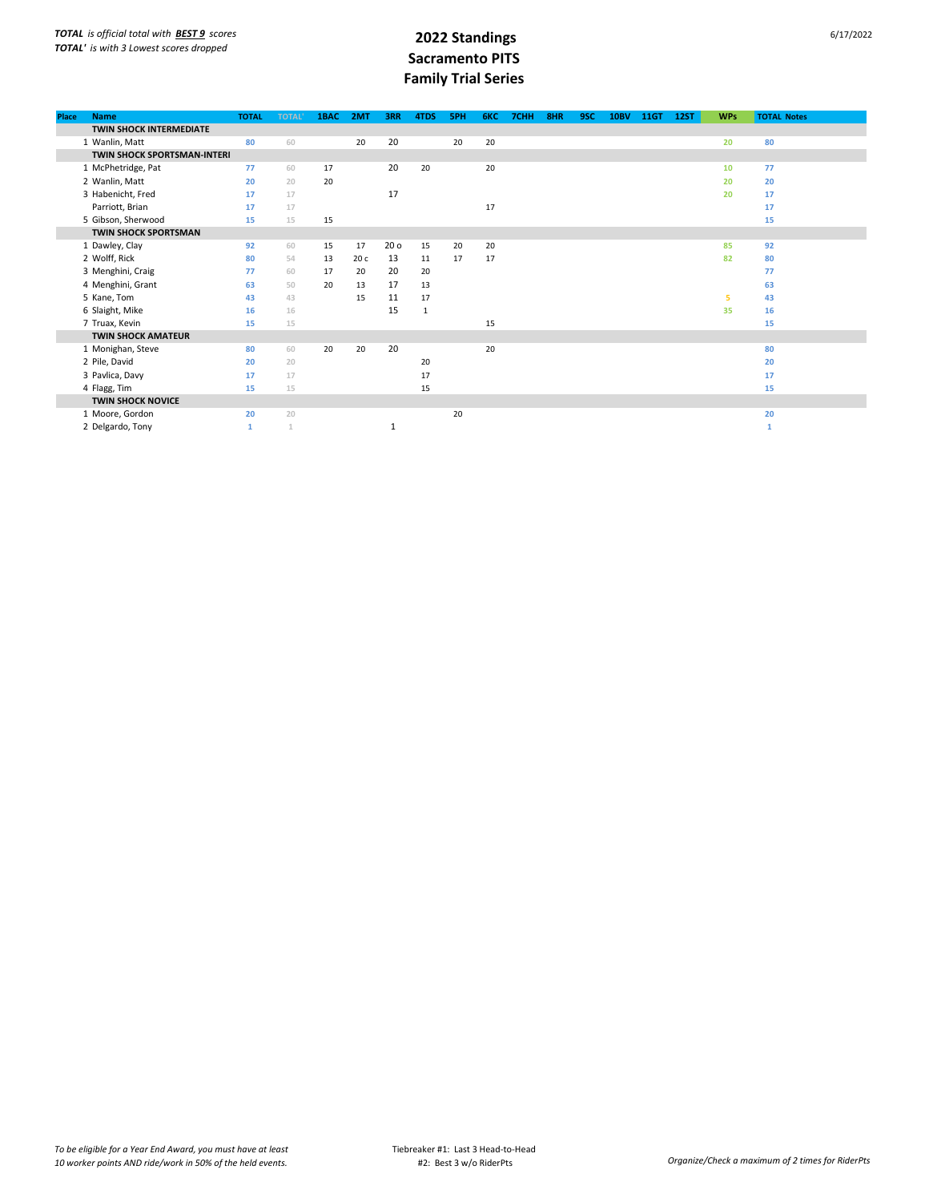| Place | <b>Name</b>                    | <b>TOTAL</b> | <b>TOTAL</b> | 1BAC | 2MT  | 3RR             | 4TDS         | <b>5PH</b> | 6KC | 7CHH | 8HR | 9SC | <b>10BV</b> | <b>11GT</b> | <b>12ST</b> | <b>WPs</b> | <b>TOTAL Notes</b> |
|-------|--------------------------------|--------------|--------------|------|------|-----------------|--------------|------------|-----|------|-----|-----|-------------|-------------|-------------|------------|--------------------|
|       | <b>TWIN SHOCK INTERMEDIATE</b> |              |              |      |      |                 |              |            |     |      |     |     |             |             |             |            |                    |
|       | 1 Wanlin, Matt                 | 80           | 60           |      | 20   | 20              |              | 20         | 20  |      |     |     |             |             |             | 20         | 80                 |
|       | TWIN SHOCK SPORTSMAN-INTERI    |              |              |      |      |                 |              |            |     |      |     |     |             |             |             |            |                    |
|       | 1 McPhetridge, Pat             | 77           | 60           | 17   |      | 20              | 20           |            | 20  |      |     |     |             |             |             | 10         | 77                 |
|       | 2 Wanlin, Matt                 | 20           | 20           | 20   |      |                 |              |            |     |      |     |     |             |             |             | 20         | 20                 |
|       | 3 Habenicht, Fred              | 17           | 17           |      |      | 17              |              |            |     |      |     |     |             |             |             | 20         | 17                 |
|       | Parriott, Brian                | 17           | 17           |      |      |                 |              |            | 17  |      |     |     |             |             |             |            | 17                 |
|       | 5 Gibson, Sherwood             | 15           | 15           | 15   |      |                 |              |            |     |      |     |     |             |             |             |            | 15                 |
|       | <b>TWIN SHOCK SPORTSMAN</b>    |              |              |      |      |                 |              |            |     |      |     |     |             |             |             |            |                    |
|       | 1 Dawley, Clay                 | 92           | 60           | 15   | 17   | 20 <sub>o</sub> | 15           | 20         | 20  |      |     |     |             |             |             | 85         | 92                 |
|       | 2 Wolff, Rick                  | 80           | 54           | 13   | 20 c | 13              | 11           | 17         | 17  |      |     |     |             |             |             | 82         | 80                 |
|       | 3 Menghini, Craig              | 77           | 60           | 17   | 20   | 20              | 20           |            |     |      |     |     |             |             |             |            | 77                 |
|       | 4 Menghini, Grant              | 63           | 50           | 20   | 13   | 17              | 13           |            |     |      |     |     |             |             |             |            | 63                 |
|       | 5 Kane, Tom                    | 43           | 43           |      | 15   | 11              | 17           |            |     |      |     |     |             |             |             | 5          | 43                 |
|       | 6 Slaight, Mike                | 16           | 16           |      |      | 15              | $\mathbf{1}$ |            |     |      |     |     |             |             |             | 35         | 16                 |
|       | 7 Truax, Kevin                 | 15           | 15           |      |      |                 |              |            | 15  |      |     |     |             |             |             |            | 15                 |
|       | <b>TWIN SHOCK AMATEUR</b>      |              |              |      |      |                 |              |            |     |      |     |     |             |             |             |            |                    |
|       | 1 Monighan, Steve              | 80           | 60           | 20   | 20   | 20              |              |            | 20  |      |     |     |             |             |             |            | 80                 |
|       | 2 Pile, David                  | 20           | 20           |      |      |                 | 20           |            |     |      |     |     |             |             |             |            | 20                 |
|       | 3 Pavlica, Davy                | 17           | 17           |      |      |                 | 17           |            |     |      |     |     |             |             |             |            | 17                 |
|       | 4 Flagg, Tim                   | 15           | 15           |      |      |                 | 15           |            |     |      |     |     |             |             |             |            | 15                 |
|       | <b>TWIN SHOCK NOVICE</b>       |              |              |      |      |                 |              |            |     |      |     |     |             |             |             |            |                    |
|       | 1 Moore, Gordon                | 20           | 20           |      |      |                 |              | 20         |     |      |     |     |             |             |             |            | 20                 |
|       | 2 Delgardo, Tony               | $\mathbf{1}$ | $\mathbf{1}$ |      |      | 1               |              |            |     |      |     |     |             |             |             |            | $\mathbf{1}$       |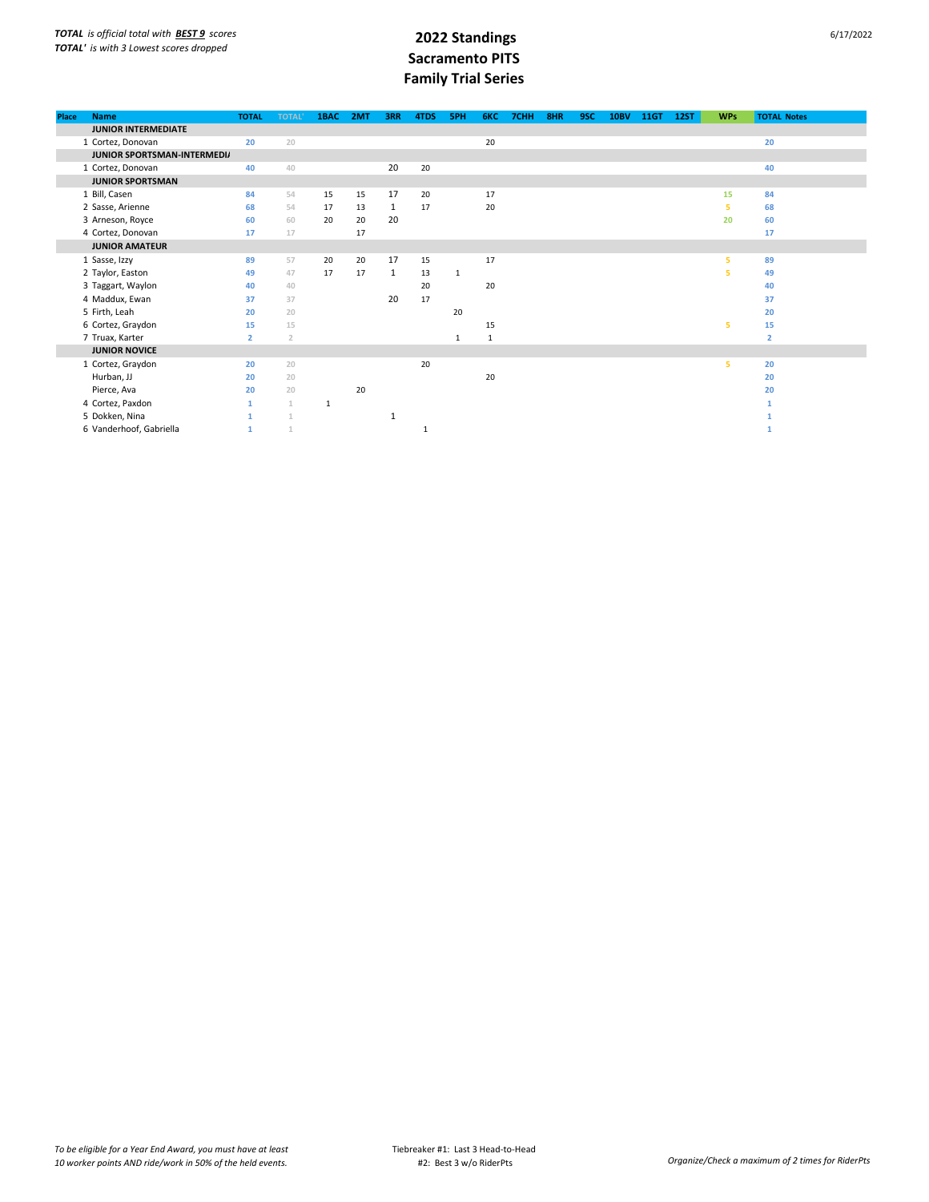| <b>Place</b> | <b>Name</b>                 | <b>TOTAL</b>   | <b>TOTAL</b>   | 1BAC | 2MT | 3RR          | 4TDS | 5PH          | 6KC | 7CHH | 8HR | 9SC | <b>10BV</b> | 11GT | <b>12ST</b> | <b>WPs</b> | <b>TOTAL Notes</b> |
|--------------|-----------------------------|----------------|----------------|------|-----|--------------|------|--------------|-----|------|-----|-----|-------------|------|-------------|------------|--------------------|
|              | <b>JUNIOR INTERMEDIATE</b>  |                |                |      |     |              |      |              |     |      |     |     |             |      |             |            |                    |
|              | 1 Cortez, Donovan           | 20             | 20             |      |     |              |      |              | 20  |      |     |     |             |      |             |            | 20                 |
|              | JUNIOR SPORTSMAN-INTERMEDI/ |                |                |      |     |              |      |              |     |      |     |     |             |      |             |            |                    |
|              | 1 Cortez, Donovan           | 40             | 40             |      |     | 20           | 20   |              |     |      |     |     |             |      |             |            | 40                 |
|              | <b>JUNIOR SPORTSMAN</b>     |                |                |      |     |              |      |              |     |      |     |     |             |      |             |            |                    |
|              | 1 Bill, Casen               | 84             | 54             | 15   | 15  | 17           | 20   |              | 17  |      |     |     |             |      |             | 15         | 84                 |
|              | 2 Sasse, Arienne            | 68             | 54             | 17   | 13  | 1            | 17   |              | 20  |      |     |     |             |      |             | 5          | 68                 |
|              | 3 Arneson, Royce            | 60             | 60             | 20   | 20  | 20           |      |              |     |      |     |     |             |      |             | 20         | 60                 |
|              | 4 Cortez, Donovan           | 17             | 17             |      | 17  |              |      |              |     |      |     |     |             |      |             |            | 17                 |
|              | <b>JUNIOR AMATEUR</b>       |                |                |      |     |              |      |              |     |      |     |     |             |      |             |            |                    |
|              | 1 Sasse, Izzy               | 89             | 57             | 20   | 20  | 17           | 15   |              | 17  |      |     |     |             |      |             | 5          | 89                 |
|              | 2 Taylor, Easton            | 49             | 47             | 17   | 17  | $\mathbf{1}$ | 13   | $\mathbf{1}$ |     |      |     |     |             |      |             | 5          | 49                 |
|              | 3 Taggart, Waylon           | 40             | 40             |      |     |              | 20   |              | 20  |      |     |     |             |      |             |            | 40                 |
|              | 4 Maddux, Ewan              | 37             | 37             |      |     | 20           | 17   |              |     |      |     |     |             |      |             |            | 37                 |
|              | 5 Firth, Leah               | 20             | 20             |      |     |              |      | 20           |     |      |     |     |             |      |             |            | 20                 |
|              | 6 Cortez, Graydon           | 15             | 15             |      |     |              |      |              | 15  |      |     |     |             |      |             | 5          | 15                 |
|              | 7 Truax, Karter             | $\overline{2}$ | $\overline{2}$ |      |     |              |      | 1            | 1   |      |     |     |             |      |             |            | $\overline{2}$     |
|              | <b>JUNIOR NOVICE</b>        |                |                |      |     |              |      |              |     |      |     |     |             |      |             |            |                    |
|              | 1 Cortez, Graydon           | 20             | 20             |      |     |              | 20   |              |     |      |     |     |             |      |             | 5          | 20                 |
|              | Hurban, JJ                  | 20             | 20             |      |     |              |      |              | 20  |      |     |     |             |      |             |            | 20                 |
|              | Pierce, Ava                 | 20             | 20             |      | 20  |              |      |              |     |      |     |     |             |      |             |            | 20                 |
|              | 4 Cortez, Paxdon            | $\mathbf{1}$   | $\mathbf{1}$   | 1    |     |              |      |              |     |      |     |     |             |      |             |            |                    |
|              | 5 Dokken, Nina              |                |                |      |     | 1            |      |              |     |      |     |     |             |      |             |            |                    |
|              | 6 Vanderhoof, Gabriella     | $\mathbf{1}$   | $\mathbf{1}$   |      |     |              |      |              |     |      |     |     |             |      |             |            |                    |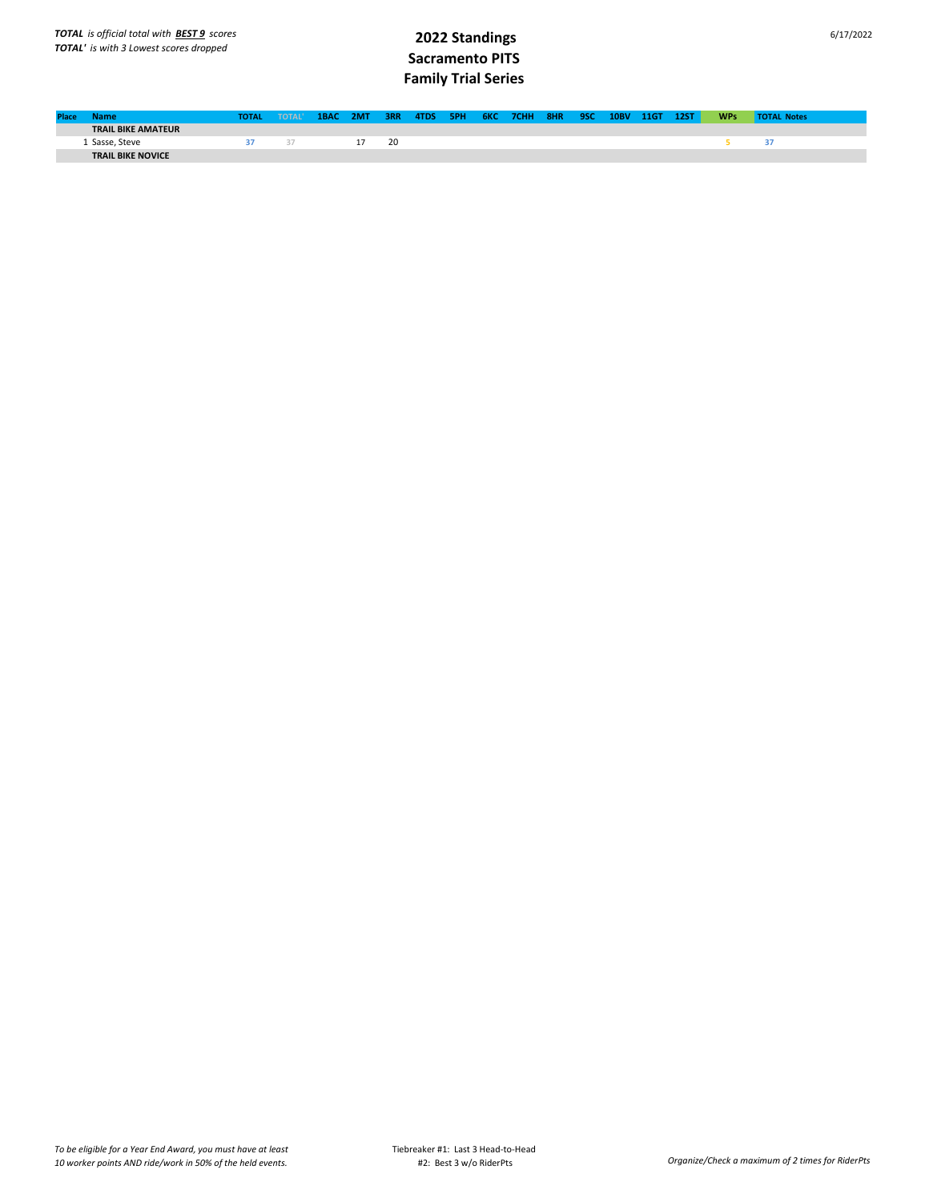| <b>Place</b> | Name                      | <b>TOTAL</b> | <b>TOTAL</b> | 1BAC 2MT |    | 3RR 4TDS |  | 5PH 6KC 7CHH 8HR 9SC 10BV |  | 11GT | <b>12ST</b> | <b>WPs</b> | <b>TOTAL Notes</b> |
|--------------|---------------------------|--------------|--------------|----------|----|----------|--|---------------------------|--|------|-------------|------------|--------------------|
|              | <b>TRAIL BIKE AMATEUR</b> |              |              |          |    |          |  |                           |  |      |             |            |                    |
|              | Sasse, Steve              |              |              |          | 20 |          |  |                           |  |      |             |            |                    |
|              | <b>TRAIL BIKE NOVICE</b>  |              |              |          |    |          |  |                           |  |      |             |            |                    |